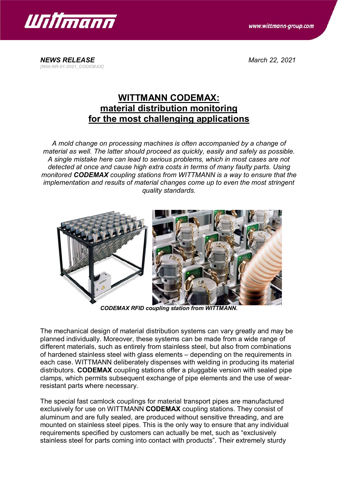

www.wittmann-group.com

*NEWS RELEASE March 22, 2021 [Witt-NR-01-2021\_CODEMAX]*

## **WITTMANN CODEMAX: material distribution monitoring for the most challenging applications**

*A mold change on processing machines is often accompanied by a change of material as well. The latter should proceed as quickly, easily and safely as possible. A single mistake here can lead to serious problems, which in most cases are not detected at once and cause high extra costs in terms of many faulty parts. Using monitored CODEMAX coupling stations from WITTMANN is a way to ensure that the implementation and results of material changes come up to even the most stringent quality standards.*



*CODEMAX RFID coupling station from WITTMANN.*

The mechanical design of material distribution systems can vary greatly and may be planned individually. Moreover, these systems can be made from a wide range of different materials, such as entirely from stainless steel, but also from combinations of hardened stainless steel with glass elements – depending on the requirements in each case. WITTMANN deliberately dispenses with welding in producing its material distributors. **CODEMAX** coupling stations offer a pluggable version with sealed pipe clamps, which permits subsequent exchange of pipe elements and the use of wearresistant parts where necessary.

The special fast camlock couplings for material transport pipes are manufactured exclusively for use on WITTMANN **CODEMAX** coupling stations. They consist of aluminum and are fully sealed, are produced without sensitive threading, and are mounted on stainless steel pipes. This is the only way to ensure that any individual requirements specified by customers can actually be met, such as "exclusively stainless steel for parts coming into contact with products". Their extremely sturdy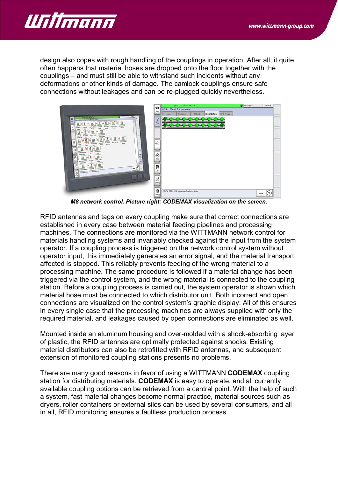

design also copes with rough handling of the couplings in operation. After all, it quite often happens that material hoses are dropped onto the floor together with the couplings – and must still be able to withstand such incidents without any deformations or other kinds of damage. The camlock couplings ensure safe connections without leakages and can be re-plugged quickly nevertheless.



*M8 network control. Picture right: CODEMAX visualization on the screen.*

RFID antennas and tags on every coupling make sure that correct connections are established in every case between material feeding pipelines and processing machines. The connections are monitored via the WITTMANN network control for materials handling systems and invariably checked against the input from the system operator. If a coupling process is triggered on the network control system without operator input, this immediately generates an error signal, and the material transport affected is stopped. This reliably prevents feeding of the wrong material to a processing machine. The same procedure is followed if a material change has been triggered via the control system, and the wrong material is connected to the coupling station. Before a coupling process is carried out, the system operator is shown which material hose must be connected to which distributor unit. Both incorrect and open connections are visualized on the control system's graphic display. All of this ensures in every single case that the processing machines are always supplied with only the required material, and leakages caused by open connections are eliminated as well.

Mounted inside an aluminum housing and over-molded with a shock-absorbing layer of plastic, the RFID antennas are optimally protected against shocks. Existing material distributors can also be retrofitted with RFID antennas, and subsequent extension of monitored coupling stations presents no problems.

There are many good reasons in favor of using a WITTMANN **CODEMAX** coupling station for distributing materials. **CODEMAX** is easy to operate, and all currently available coupling options can be retrieved from a central point. With the help of such a system, fast material changes become normal practice, material sources such as dryers, roller containers or external silos can be used by several consumers, and all in all, RFID monitoring ensures a faultless production process.